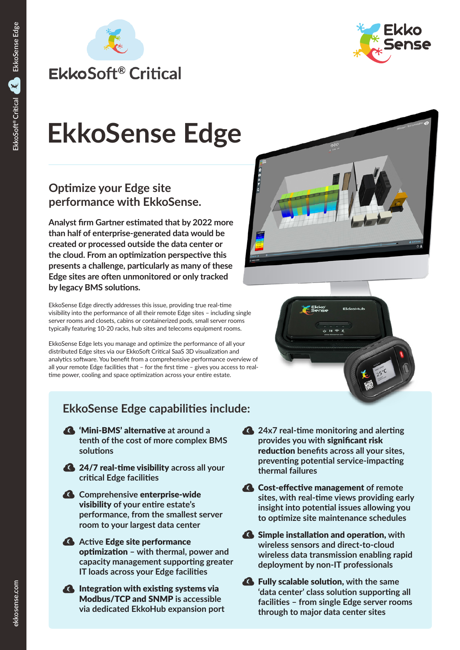



# **EkkoSense Edge**

# **Optimize your Edge site performance with EkkoSense.**

**Analyst firm Gartner estimated that by 2022 more than half of enterprise-generated data would be created or processed outside the data center or the cloud. From an optimization perspective this presents a challenge, particularly as many of these Edge sites are often unmonitored or only tracked by legacy BMS solutions.**

EkkoSense Edge directly addresses this issue, providing true real-time visibility into the performance of all their remote Edge sites – including single server rooms and closets, cabins or containerized pods, small server rooms typically featuring 10-20 racks, hub sites and telecoms equipment rooms.

EkkoSense Edge lets you manage and optimize the performance of all your distributed Edge sites via our EkkoSoft Critical SaaS 3D visualization and analytics software. You benefit from a comprehensive performance overview of all your remote Edge facilities that – for the first time – gives you access to realtime power, cooling and space optimization across your entire estate.

# **EkkoSense Edge capabilities include:**

- 'Mini-BMS' alternative **at around a tenth of the cost of more complex BMS solutions**
- 24/7 real-time visibility **across all your critical Edge facilities**
- **Comprehensive** enterprise-wide visibility **of your entire estate's performance, from the smallest server room to your largest data center**
- **Active Edge site performance** optimization **– with thermal, power and capacity management supporting greater IT loads across your Edge facilities**
- **A** Integration with existing systems via Modbus/TCP and SNMP **is accessible via dedicated EkkoHub expansion port**
- **24x7 real-time monitoring and alerting provides you with** significant risk reduction **benefits across all your sites, preventing potential service-impacting thermal failures**
- Cost-effective management **of remote sites, with real-time views providing early insight into potential issues allowing you to optimize site maintenance schedules**
- Simple installation and operation, **with wireless sensors and direct-to-cloud wireless data transmission enabling rapid deployment by non-IT professionals**
- Fully scalable solution, **with the same 'data center' class solution supporting all facilities – from single Edge server rooms through to major data center sites**